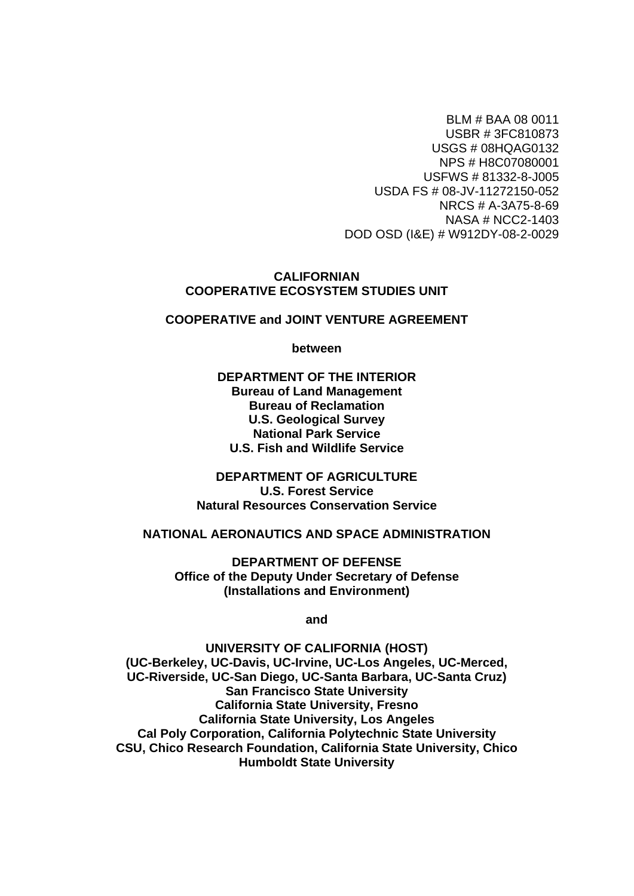BLM # BAA 08 0011 USBR # 3FC810873 USGS # 08HQAG0132 NPS # H8C07080001 USFWS # 81332-8-J005 USDA FS # 08-JV-11272150-052 NRCS # A-3A75-8-69 NASA # NCC2-1403 DOD OSD (I&E) # W912DY-08-2-0029

#### **CALIFORNIAN COOPERATIVE ECOSYSTEM STUDIES UNIT**

#### **COOPERATIVE and JOINT VENTURE AGREEMENT**

**between** 

#### **DEPARTMENT OF THE INTERIOR Bureau of Land Management Bureau of Reclamation U.S. Geological Survey National Park Service U.S. Fish and Wildlife Service**

**DEPARTMENT OF AGRICULTURE U.S. Forest Service Natural Resources Conservation Service** 

#### **NATIONAL AERONAUTICS AND SPACE ADMINISTRATION**

**DEPARTMENT OF DEFENSE Office of the Deputy Under Secretary of Defense (Installations and Environment)** 

**and** 

**UNIVERSITY OF CALIFORNIA (HOST) (UC-Berkeley, UC-Davis, UC-Irvine, UC-Los Angeles, UC-Merced, UC-Riverside, UC-San Diego, UC-Santa Barbara, UC-Santa Cruz) San Francisco State University California State University, Fresno California State University, Los Angeles Cal Poly Corporation, California Polytechnic State University CSU, Chico Research Foundation, California State University, Chico Humboldt State University**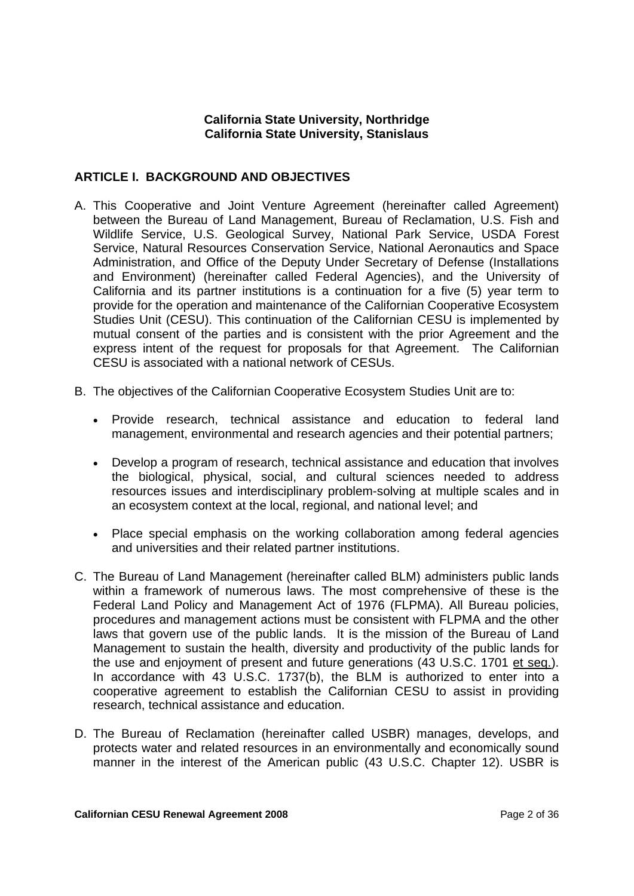#### **California State University, Northridge California State University, Stanislaus**

#### **ARTICLE I. BACKGROUND AND OBJECTIVES**

- A. This Cooperative and Joint Venture Agreement (hereinafter called Agreement) between the Bureau of Land Management, Bureau of Reclamation, U.S. Fish and Wildlife Service, U.S. Geological Survey, National Park Service, USDA Forest Service, Natural Resources Conservation Service, National Aeronautics and Space Administration, and Office of the Deputy Under Secretary of Defense (Installations and Environment) (hereinafter called Federal Agencies), and the University of California and its partner institutions is a continuation for a five (5) year term to provide for the operation and maintenance of the Californian Cooperative Ecosystem Studies Unit (CESU). This continuation of the Californian CESU is implemented by mutual consent of the parties and is consistent with the prior Agreement and the express intent of the request for proposals for that Agreement. The Californian CESU is associated with a national network of CESUs.
- B. The objectives of the Californian Cooperative Ecosystem Studies Unit are to:
	- Provide research, technical assistance and education to federal land management, environmental and research agencies and their potential partners;
	- Develop a program of research, technical assistance and education that involves the biological, physical, social, and cultural sciences needed to address resources issues and interdisciplinary problem-solving at multiple scales and in an ecosystem context at the local, regional, and national level; and
	- Place special emphasis on the working collaboration among federal agencies and universities and their related partner institutions.
- C. The Bureau of Land Management (hereinafter called BLM) administers public lands within a framework of numerous laws. The most comprehensive of these is the Federal Land Policy and Management Act of 1976 (FLPMA). All Bureau policies, procedures and management actions must be consistent with FLPMA and the other laws that govern use of the public lands. It is the mission of the Bureau of Land Management to sustain the health, diversity and productivity of the public lands for the use and enjoyment of present and future generations (43 U.S.C. 1701 et seq.). In accordance with 43 U.S.C. 1737(b), the BLM is authorized to enter into a cooperative agreement to establish the Californian CESU to assist in providing research, technical assistance and education.
- D. The Bureau of Reclamation (hereinafter called USBR) manages, develops, and protects water and related resources in an environmentally and economically sound manner in the interest of the American public (43 U.S.C. Chapter 12). USBR is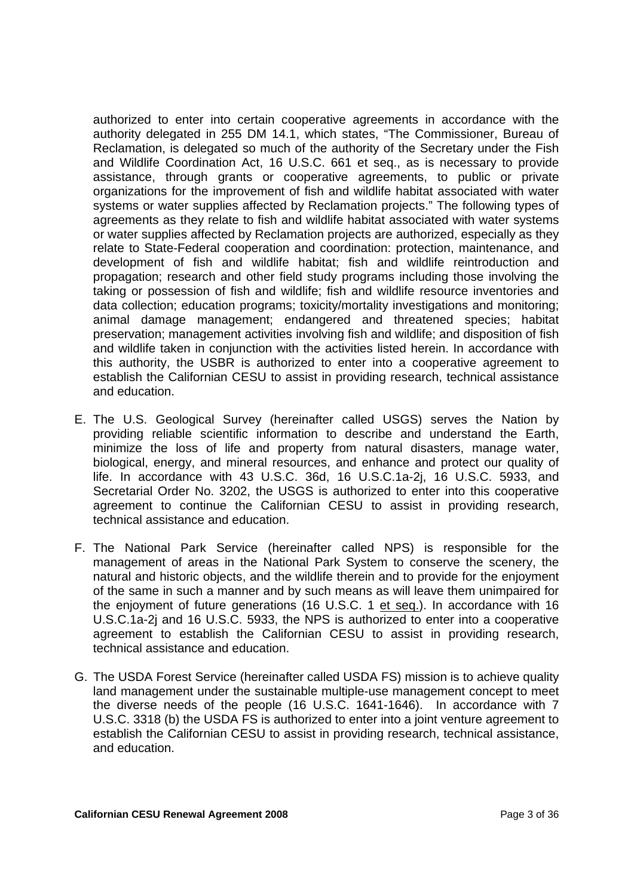authorized to enter into certain cooperative agreements in accordance with the authority delegated in 255 DM 14.1, which states, "The Commissioner, Bureau of Reclamation, is delegated so much of the authority of the Secretary under the Fish and Wildlife Coordination Act, 16 U.S.C. 661 et seq., as is necessary to provide assistance, through grants or cooperative agreements, to public or private organizations for the improvement of fish and wildlife habitat associated with water systems or water supplies affected by Reclamation projects." The following types of agreements as they relate to fish and wildlife habitat associated with water systems or water supplies affected by Reclamation projects are authorized, especially as they relate to State-Federal cooperation and coordination: protection, maintenance, and development of fish and wildlife habitat; fish and wildlife reintroduction and propagation; research and other field study programs including those involving the taking or possession of fish and wildlife; fish and wildlife resource inventories and data collection; education programs; toxicity/mortality investigations and monitoring; animal damage management; endangered and threatened species; habitat preservation; management activities involving fish and wildlife; and disposition of fish and wildlife taken in conjunction with the activities listed herein. In accordance with this authority, the USBR is authorized to enter into a cooperative agreement to establish the Californian CESU to assist in providing research, technical assistance and education.

- E. The U.S. Geological Survey (hereinafter called USGS) serves the Nation by providing reliable scientific information to describe and understand the Earth, minimize the loss of life and property from natural disasters, manage water, biological, energy, and mineral resources, and enhance and protect our quality of life. In accordance with 43 U.S.C. 36d, 16 U.S.C.1a-2j, 16 U.S.C. 5933, and Secretarial Order No. 3202, the USGS is authorized to enter into this cooperative agreement to continue the Californian CESU to assist in providing research, technical assistance and education.
- F. The National Park Service (hereinafter called NPS) is responsible for the management of areas in the National Park System to conserve the scenery, the natural and historic objects, and the wildlife therein and to provide for the enjoyment of the same in such a manner and by such means as will leave them unimpaired for the enjoyment of future generations (16 U.S.C. 1 et seq.). In accordance with 16 U.S.C.1a-2j and 16 U.S.C. 5933, the NPS is authorized to enter into a cooperative agreement to establish the Californian CESU to assist in providing research, technical assistance and education.
- G. The USDA Forest Service (hereinafter called USDA FS) mission is to achieve quality land management under the sustainable multiple-use management concept to meet the diverse needs of the people (16 U.S.C. 1641-1646). In accordance with 7 U.S.C. 3318 (b) the USDA FS is authorized to enter into a joint venture agreement to establish the Californian CESU to assist in providing research, technical assistance, and education.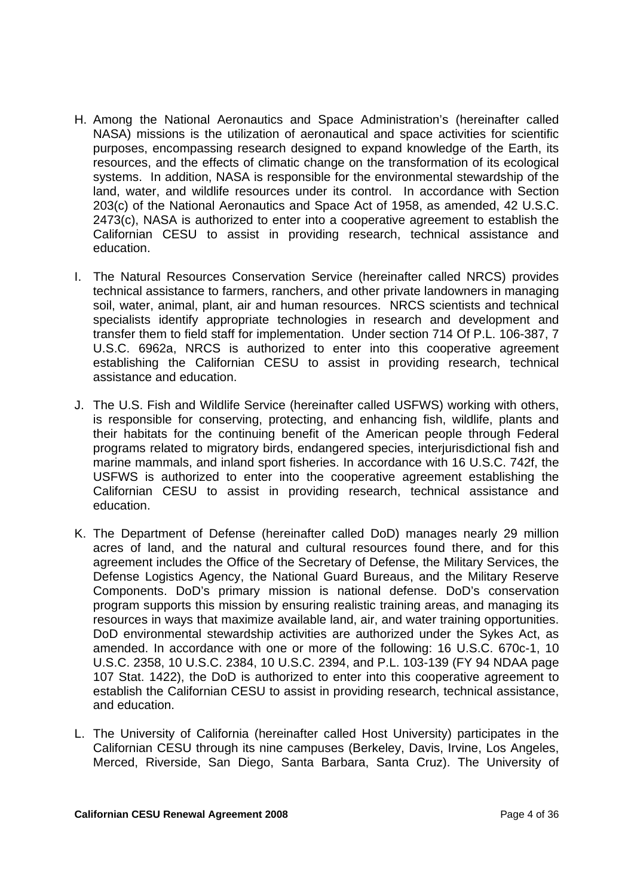- H. Among the National Aeronautics and Space Administration's (hereinafter called NASA) missions is the utilization of aeronautical and space activities for scientific purposes, encompassing research designed to expand knowledge of the Earth, its resources, and the effects of climatic change on the transformation of its ecological systems. In addition, NASA is responsible for the environmental stewardship of the land, water, and wildlife resources under its control. In accordance with Section 203(c) of the National Aeronautics and Space Act of 1958, as amended, 42 U.S.C. 2473(c), NASA is authorized to enter into a cooperative agreement to establish the Californian CESU to assist in providing research, technical assistance and education.
- I. The Natural Resources Conservation Service (hereinafter called NRCS) provides technical assistance to farmers, ranchers, and other private landowners in managing soil, water, animal, plant, air and human resources. NRCS scientists and technical specialists identify appropriate technologies in research and development and transfer them to field staff for implementation. Under section 714 Of P.L. 106-387, 7 U.S.C. 6962a, NRCS is authorized to enter into this cooperative agreement establishing the Californian CESU to assist in providing research, technical assistance and education.
- J. The U.S. Fish and Wildlife Service (hereinafter called USFWS) working with others, is responsible for conserving, protecting, and enhancing fish, wildlife, plants and their habitats for the continuing benefit of the American people through Federal programs related to migratory birds, endangered species, interjurisdictional fish and marine mammals, and inland sport fisheries. In accordance with 16 U.S.C. 742f, the USFWS is authorized to enter into the cooperative agreement establishing the Californian CESU to assist in providing research, technical assistance and education.
- K. The Department of Defense (hereinafter called DoD) manages nearly 29 million acres of land, and the natural and cultural resources found there, and for this agreement includes the Office of the Secretary of Defense, the Military Services, the Defense Logistics Agency, the National Guard Bureaus, and the Military Reserve Components. DoD's primary mission is national defense. DoD's conservation program supports this mission by ensuring realistic training areas, and managing its resources in ways that maximize available land, air, and water training opportunities. DoD environmental stewardship activities are authorized under the Sykes Act, as amended. In accordance with one or more of the following: 16 U.S.C. 670c-1, 10 U.S.C. 2358, 10 U.S.C. 2384, 10 U.S.C. 2394, and P.L. 103-139 (FY 94 NDAA page 107 Stat. 1422), the DoD is authorized to enter into this cooperative agreement to establish the Californian CESU to assist in providing research, technical assistance, and education.
- L. The University of California (hereinafter called Host University) participates in the Californian CESU through its nine campuses (Berkeley, Davis, Irvine, Los Angeles, Merced, Riverside, San Diego, Santa Barbara, Santa Cruz). The University of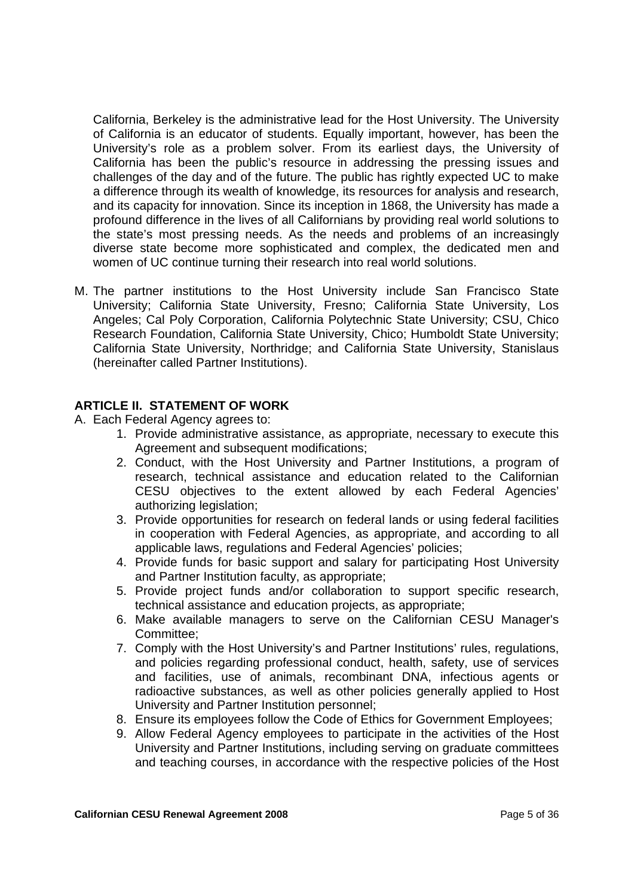California, Berkeley is the administrative lead for the Host University. The University of California is an educator of students. Equally important, however, has been the University's role as a problem solver. From its earliest days, the University of California has been the public's resource in addressing the pressing issues and challenges of the day and of the future. The public has rightly expected UC to make a difference through its wealth of knowledge, its resources for analysis and research, and its capacity for innovation. Since its inception in 1868, the University has made a profound difference in the lives of all Californians by providing real world solutions to the state's most pressing needs. As the needs and problems of an increasingly diverse state become more sophisticated and complex, the dedicated men and women of UC continue turning their research into real world solutions.

M. The partner institutions to the Host University include San Francisco State University; California State University, Fresno; California State University, Los Angeles; Cal Poly Corporation, California Polytechnic State University; CSU, Chico Research Foundation, California State University, Chico; Humboldt State University; California State University, Northridge; and California State University, Stanislaus (hereinafter called Partner Institutions).

### **ARTICLE II. STATEMENT OF WORK**

- A. Each Federal Agency agrees to:
	- 1. Provide administrative assistance, as appropriate, necessary to execute this Agreement and subsequent modifications;
	- 2. Conduct, with the Host University and Partner Institutions, a program of research, technical assistance and education related to the Californian CESU objectives to the extent allowed by each Federal Agencies' authorizing legislation;
	- 3. Provide opportunities for research on federal lands or using federal facilities in cooperation with Federal Agencies, as appropriate, and according to all applicable laws, regulations and Federal Agencies' policies;
	- 4. Provide funds for basic support and salary for participating Host University and Partner Institution faculty, as appropriate;
	- 5. Provide project funds and/or collaboration to support specific research, technical assistance and education projects, as appropriate;
	- 6. Make available managers to serve on the Californian CESU Manager's Committee;
	- 7. Comply with the Host University's and Partner Institutions' rules, regulations, and policies regarding professional conduct, health, safety, use of services and facilities, use of animals, recombinant DNA, infectious agents or radioactive substances, as well as other policies generally applied to Host University and Partner Institution personnel;
	- 8. Ensure its employees follow the Code of Ethics for Government Employees;
	- 9. Allow Federal Agency employees to participate in the activities of the Host University and Partner Institutions, including serving on graduate committees and teaching courses, in accordance with the respective policies of the Host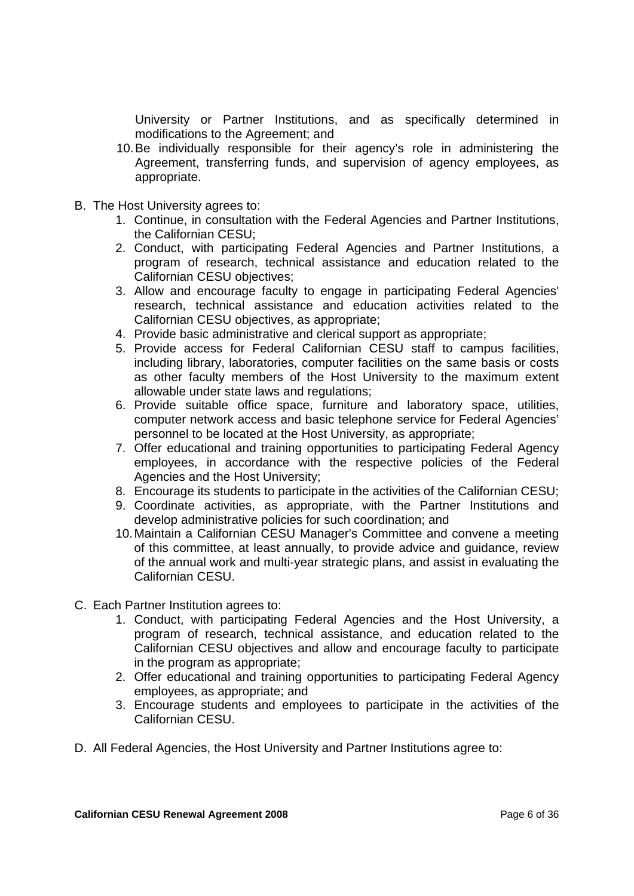University or Partner Institutions, and as specifically determined in modifications to the Agreement; and

- 10. Be individually responsible for their agency's role in administering the Agreement, transferring funds, and supervision of agency employees, as appropriate.
- B. The Host University agrees to:
	- 1. Continue, in consultation with the Federal Agencies and Partner Institutions, the Californian CESU;
	- 2. Conduct, with participating Federal Agencies and Partner Institutions, a program of research, technical assistance and education related to the Californian CESU objectives;
	- 3. Allow and encourage faculty to engage in participating Federal Agencies' research, technical assistance and education activities related to the Californian CESU objectives, as appropriate;
	- 4. Provide basic administrative and clerical support as appropriate;
	- 5. Provide access for Federal Californian CESU staff to campus facilities, including library, laboratories, computer facilities on the same basis or costs as other faculty members of the Host University to the maximum extent allowable under state laws and regulations;
	- 6. Provide suitable office space, furniture and laboratory space, utilities, computer network access and basic telephone service for Federal Agencies' personnel to be located at the Host University, as appropriate;
	- 7. Offer educational and training opportunities to participating Federal Agency employees, in accordance with the respective policies of the Federal Agencies and the Host University;
	- 8. Encourage its students to participate in the activities of the Californian CESU;
	- 9. Coordinate activities, as appropriate, with the Partner Institutions and develop administrative policies for such coordination; and
	- 10. Maintain a Californian CESU Manager's Committee and convene a meeting of this committee, at least annually, to provide advice and guidance, review of the annual work and multi-year strategic plans, and assist in evaluating the Californian CESU.
- C. Each Partner Institution agrees to:
	- 1. Conduct, with participating Federal Agencies and the Host University, a program of research, technical assistance, and education related to the Californian CESU objectives and allow and encourage faculty to participate in the program as appropriate;
	- 2. Offer educational and training opportunities to participating Federal Agency employees, as appropriate; and
	- 3. Encourage students and employees to participate in the activities of the Californian CESU.
- D. All Federal Agencies, the Host University and Partner Institutions agree to: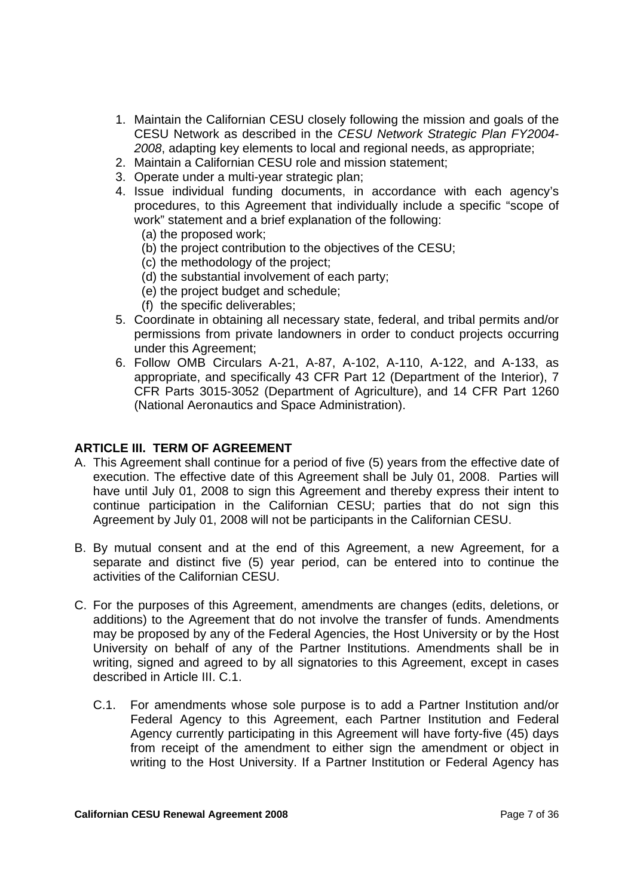- 1. Maintain the Californian CESU closely following the mission and goals of the CESU Network as described in the *CESU Network Strategic Plan FY2004- 2008*, adapting key elements to local and regional needs, as appropriate;
- 2. Maintain a Californian CESU role and mission statement;
- 3. Operate under a multi-year strategic plan;
- 4. Issue individual funding documents, in accordance with each agency's procedures, to this Agreement that individually include a specific "scope of work" statement and a brief explanation of the following:
	- (a) the proposed work;
	- (b) the project contribution to the objectives of the CESU;
	- (c) the methodology of the project;
	- (d) the substantial involvement of each party;
	- (e) the project budget and schedule;
	- (f) the specific deliverables;
- 5. Coordinate in obtaining all necessary state, federal, and tribal permits and/or permissions from private landowners in order to conduct projects occurring under this Agreement;
- 6. Follow OMB Circulars A-21, A-87, A-102, A-110, A-122, and A-133, as appropriate, and specifically 43 CFR Part 12 (Department of the Interior), 7 CFR Parts 3015-3052 (Department of Agriculture), and 14 CFR Part 1260 (National Aeronautics and Space Administration).

#### **ARTICLE III. TERM OF AGREEMENT**

- A. This Agreement shall continue for a period of five (5) years from the effective date of execution. The effective date of this Agreement shall be July 01, 2008. Parties will have until July 01, 2008 to sign this Agreement and thereby express their intent to continue participation in the Californian CESU; parties that do not sign this Agreement by July 01, 2008 will not be participants in the Californian CESU.
- B. By mutual consent and at the end of this Agreement, a new Agreement, for a separate and distinct five (5) year period, can be entered into to continue the activities of the Californian CESU.
- C. For the purposes of this Agreement, amendments are changes (edits, deletions, or additions) to the Agreement that do not involve the transfer of funds. Amendments may be proposed by any of the Federal Agencies, the Host University or by the Host University on behalf of any of the Partner Institutions. Amendments shall be in writing, signed and agreed to by all signatories to this Agreement, except in cases described in Article III. C.1.
	- C.1. For amendments whose sole purpose is to add a Partner Institution and/or Federal Agency to this Agreement, each Partner Institution and Federal Agency currently participating in this Agreement will have forty-five (45) days from receipt of the amendment to either sign the amendment or object in writing to the Host University. If a Partner Institution or Federal Agency has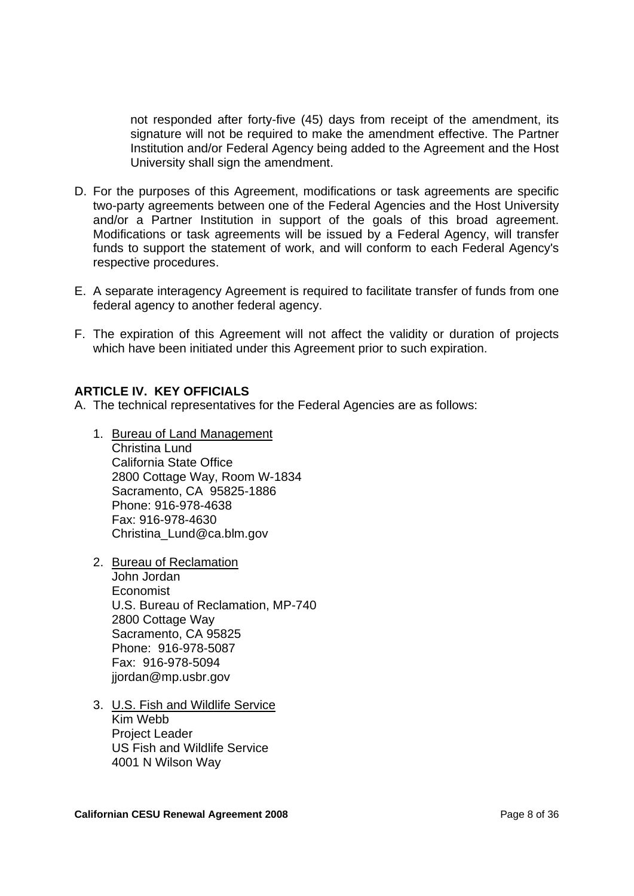not responded after forty-five (45) days from receipt of the amendment, its signature will not be required to make the amendment effective. The Partner Institution and/or Federal Agency being added to the Agreement and the Host University shall sign the amendment.

- D. For the purposes of this Agreement, modifications or task agreements are specific two-party agreements between one of the Federal Agencies and the Host University and/or a Partner Institution in support of the goals of this broad agreement. Modifications or task agreements will be issued by a Federal Agency, will transfer funds to support the statement of work, and will conform to each Federal Agency's respective procedures.
- E. A separate interagency Agreement is required to facilitate transfer of funds from one federal agency to another federal agency.
- F. The expiration of this Agreement will not affect the validity or duration of projects which have been initiated under this Agreement prior to such expiration.

#### **ARTICLE IV. KEY OFFICIALS**

A. The technical representatives for the Federal Agencies are as follows:

- 1. Bureau of Land Management Christina Lund California State Office 2800 Cottage Way, Room W-1834 Sacramento, CA 95825-1886 Phone: 916-978-4638 Fax: 916-978-4630 Christina\_Lund@ca.blm.gov
- 2. Bureau of Reclamation John Jordan Economist U.S. Bureau of Reclamation, MP-740 2800 Cottage Way Sacramento, CA 95825 Phone: 916-978-5087 Fax: 916-978-5094 jjordan@mp.usbr.gov
- 3. U.S. Fish and Wildlife Service Kim Webb Project Leader US Fish and Wildlife Service 4001 N Wilson Way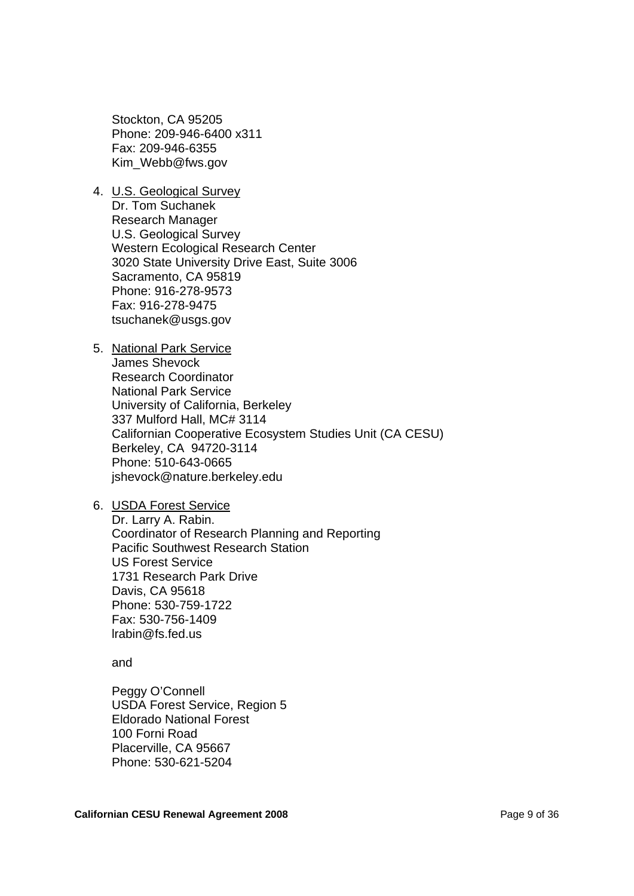Stockton, CA 95205 Phone: 209-946-6400 x311 Fax: 209-946-6355 Kim\_Webb@fws.gov

4. U.S. Geological Survey

Dr. Tom Suchanek Research Manager U.S. Geological Survey Western Ecological Research Center 3020 State University Drive East, Suite 3006 Sacramento, CA 95819 Phone: 916-278-9573 Fax: 916-278-9475 tsuchanek@usgs.gov

- 5. National Park Service James Shevock Research Coordinator National Park Service University of California, Berkeley 337 Mulford Hall, MC# 3114 Californian Cooperative Ecosystem Studies Unit (CA CESU) Berkeley, CA 94720-3114 Phone: 510-643-0665 jshevock@nature.berkeley.edu
- 6. USDA Forest Service

Dr. Larry A. Rabin. Coordinator of Research Planning and Reporting Pacific Southwest Research Station US Forest Service 1731 Research Park Drive Davis, CA 95618 Phone: 530-759-1722 Fax: 530-756-1409 lrabin@fs.fed.us

and

Peggy O'Connell USDA Forest Service, Region 5 Eldorado National Forest 100 Forni Road Placerville, CA 95667 Phone: 530-621-5204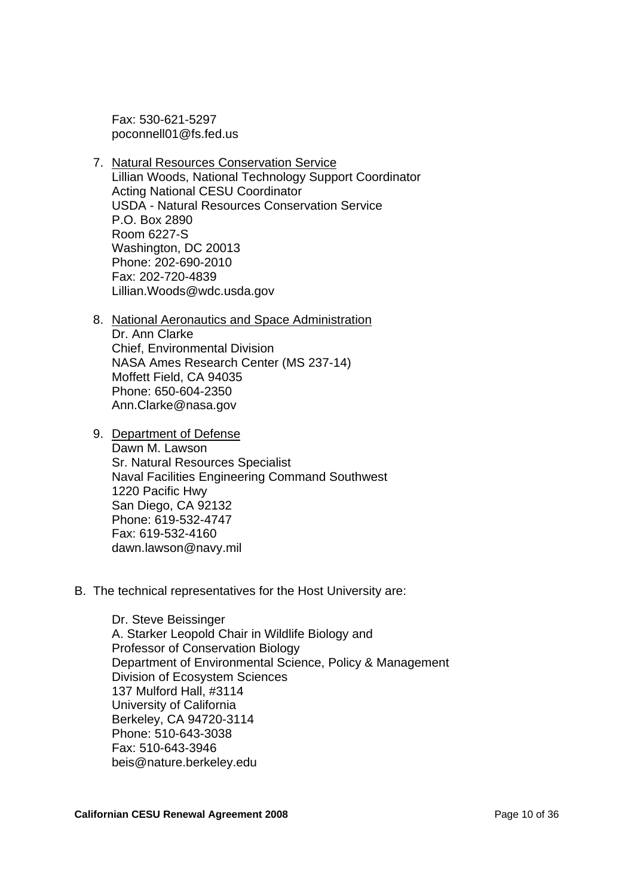Fax: 530-621-5297 poconnell01@fs.fed.us

- 7. Natural Resources Conservation Service Lillian Woods, National Technology Support Coordinator Acting National CESU Coordinator USDA - Natural Resources Conservation Service P.O. Box 2890 Room 6227-S Washington, DC 20013 Phone: 202-690-2010 Fax: 202-720-4839 Lillian.Woods@wdc.usda.gov
- 8. National Aeronautics and Space Administration Dr. Ann Clarke Chief, Environmental Division NASA Ames Research Center (MS 237-14) Moffett Field, CA 94035 Phone: 650-604-2350 Ann.Clarke@nasa.gov
- 9. Department of Defense

Dawn M. Lawson Sr. Natural Resources Specialist Naval Facilities Engineering Command Southwest 1220 Pacific Hwy San Diego, CA 92132 Phone: 619-532-4747 Fax: 619-532-4160 dawn.lawson@navy.mil

B. The technical representatives for the Host University are:

Dr. Steve Beissinger A. Starker Leopold Chair in Wildlife Biology and Professor of Conservation Biology Department of Environmental Science, Policy & Management Division of Ecosystem Sciences 137 Mulford Hall, #3114 University of California Berkeley, CA 94720-3114 Phone: 510-643-3038 Fax: 510-643-3946 beis@nature.berkeley.edu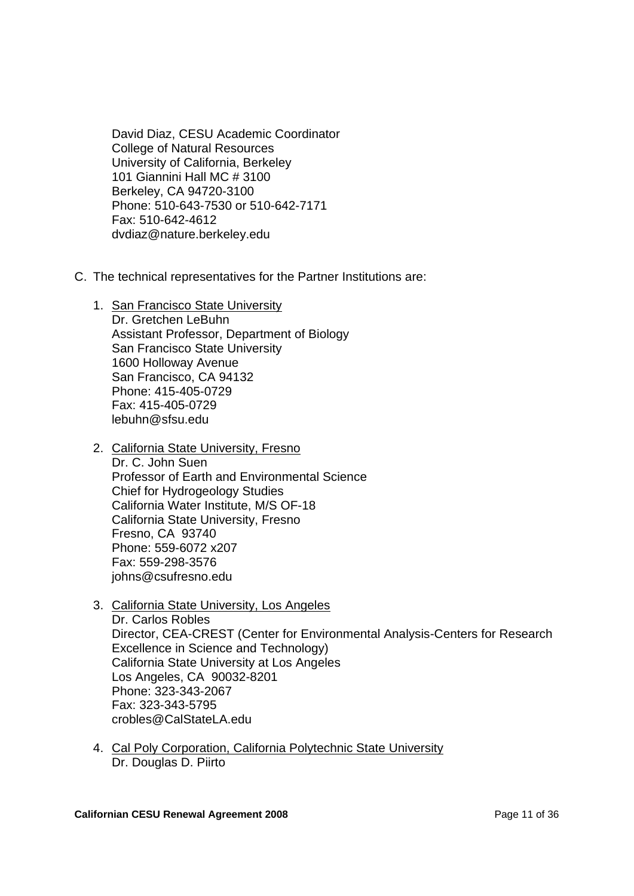David Diaz, CESU Academic Coordinator College of Natural Resources University of California, Berkeley 101 Giannini Hall MC # 3100 Berkeley, CA 94720-3100 Phone: 510-643-7530 or 510-642-7171 Fax: 510-642-4612 dvdiaz@nature.berkeley.edu

- C. The technical representatives for the Partner Institutions are:
	- 1. San Francisco State University Dr. Gretchen LeBuhn Assistant Professor, Department of Biology San Francisco State University 1600 Holloway Avenue San Francisco, CA 94132 Phone: 415-405-0729 Fax: 415-405-0729 lebuhn@sfsu.edu
	- 2. California State University, Fresno Dr. C. John Suen Professor of Earth and Environmental Science Chief for Hydrogeology Studies California Water Institute, M/S OF-18 California State University, Fresno Fresno, CA 93740 Phone: 559-6072 x207 Fax: 559-298-3576 johns@csufresno.edu
	- 3. California State University, Los Angeles Dr. Carlos Robles Director, CEA-CREST (Center for Environmental Analysis-Centers for Research Excellence in Science and Technology) California State University at Los Angeles Los Angeles, CA 90032-8201 Phone: 323-343-2067 Fax: 323-343-5795 crobles@CalStateLA.edu
	- 4. Cal Poly Corporation, California Polytechnic State University Dr. Douglas D. Piirto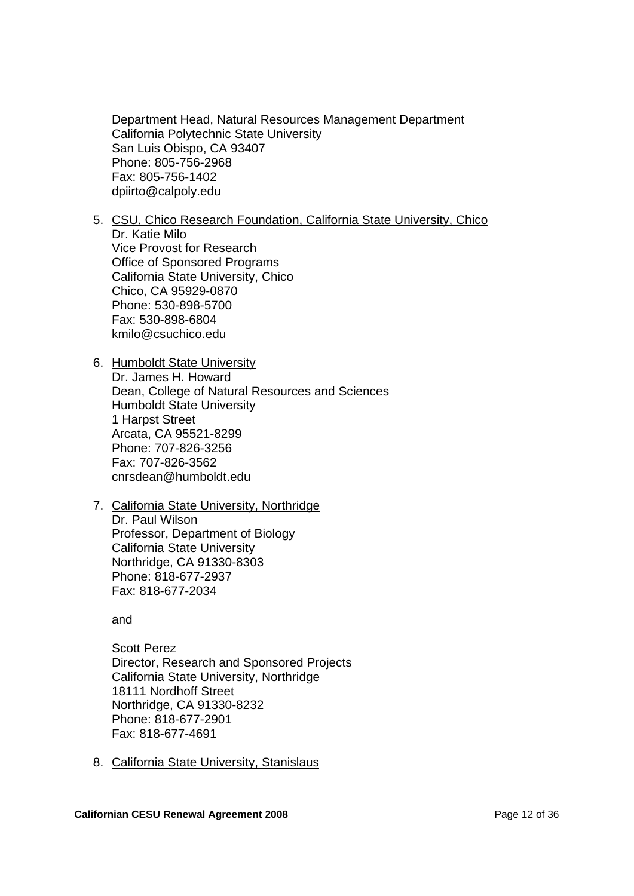Department Head, Natural Resources Management Department California Polytechnic State University San Luis Obispo, CA 93407 Phone: 805-756-2968 Fax: 805-756-1402 dpiirto@calpoly.edu

- 5. CSU, Chico Research Foundation, California State University, Chico Dr. Katie Milo Vice Provost for Research Office of Sponsored Programs California State University, Chico Chico, CA 95929-0870 Phone: 530-898-5700 Fax: 530-898-6804 kmilo@csuchico.edu
- 6. Humboldt State University Dr. James H. Howard Dean, College of Natural Resources and Sciences Humboldt State University 1 Harpst Street Arcata, CA 95521-8299 Phone: 707-826-3256 Fax: 707-826-3562 cnrsdean@humboldt.edu
- 7. California State University, Northridge Dr. Paul Wilson Professor, Department of Biology California State University Northridge, CA 91330-8303 Phone: 818-677-2937 Fax: 818-677-2034

and

Scott Perez Director, Research and Sponsored Projects California State University, Northridge 18111 Nordhoff Street Northridge, CA 91330-8232 Phone: 818-677-2901 Fax: 818-677-4691

8. California State University, Stanislaus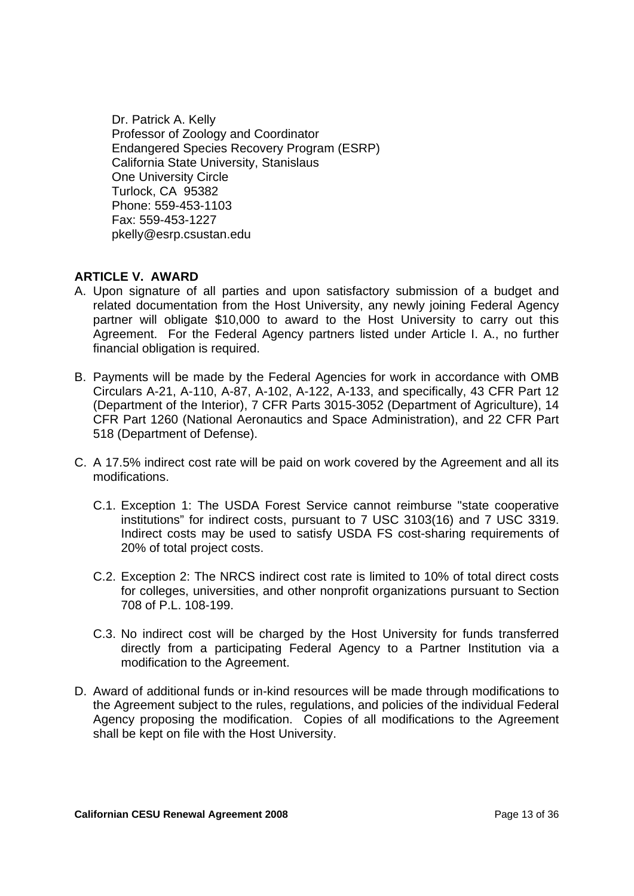Dr. Patrick A. Kelly Professor of Zoology and Coordinator Endangered Species Recovery Program (ESRP) California State University, Stanislaus One University Circle Turlock, CA 95382 Phone: 559-453-1103 Fax: 559-453-1227 pkelly@esrp.csustan.edu

#### **ARTICLE V. AWARD**

- A. Upon signature of all parties and upon satisfactory submission of a budget and related documentation from the Host University, any newly joining Federal Agency partner will obligate \$10,000 to award to the Host University to carry out this Agreement. For the Federal Agency partners listed under Article I. A., no further financial obligation is required.
- B. Payments will be made by the Federal Agencies for work in accordance with OMB Circulars A-21, A-110, A-87, A-102, A-122, A-133, and specifically, 43 CFR Part 12 (Department of the Interior), 7 CFR Parts 3015-3052 (Department of Agriculture), 14 CFR Part 1260 (National Aeronautics and Space Administration), and 22 CFR Part 518 (Department of Defense).
- C. A 17.5% indirect cost rate will be paid on work covered by the Agreement and all its modifications.
	- C.1. Exception 1: The USDA Forest Service cannot reimburse "state cooperative institutions" for indirect costs, pursuant to 7 USC 3103(16) and 7 USC 3319. Indirect costs may be used to satisfy USDA FS cost-sharing requirements of 20% of total project costs.
	- C.2. Exception 2: The NRCS indirect cost rate is limited to 10% of total direct costs for colleges, universities, and other nonprofit organizations pursuant to Section 708 of P.L. 108-199.
	- C.3. No indirect cost will be charged by the Host University for funds transferred directly from a participating Federal Agency to a Partner Institution via a modification to the Agreement.
- D. Award of additional funds or in-kind resources will be made through modifications to the Agreement subject to the rules, regulations, and policies of the individual Federal Agency proposing the modification. Copies of all modifications to the Agreement shall be kept on file with the Host University.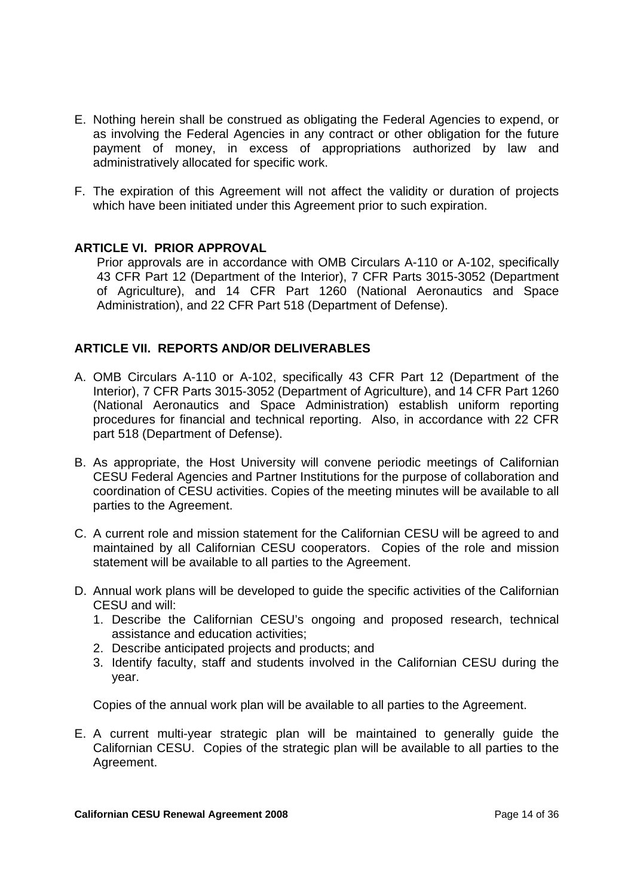- E. Nothing herein shall be construed as obligating the Federal Agencies to expend, or as involving the Federal Agencies in any contract or other obligation for the future payment of money, in excess of appropriations authorized by law and administratively allocated for specific work.
- F. The expiration of this Agreement will not affect the validity or duration of projects which have been initiated under this Agreement prior to such expiration.

#### **ARTICLE VI. PRIOR APPROVAL**

Prior approvals are in accordance with OMB Circulars A-110 or A-102, specifically 43 CFR Part 12 (Department of the Interior), 7 CFR Parts 3015-3052 (Department of Agriculture), and 14 CFR Part 1260 (National Aeronautics and Space Administration), and 22 CFR Part 518 (Department of Defense).

#### **ARTICLE VII. REPORTS AND/OR DELIVERABLES**

- A. OMB Circulars A-110 or A-102, specifically 43 CFR Part 12 (Department of the Interior), 7 CFR Parts 3015-3052 (Department of Agriculture), and 14 CFR Part 1260 (National Aeronautics and Space Administration) establish uniform reporting procedures for financial and technical reporting. Also, in accordance with 22 CFR part 518 (Department of Defense).
- B. As appropriate, the Host University will convene periodic meetings of Californian CESU Federal Agencies and Partner Institutions for the purpose of collaboration and coordination of CESU activities. Copies of the meeting minutes will be available to all parties to the Agreement.
- C. A current role and mission statement for the Californian CESU will be agreed to and maintained by all Californian CESU cooperators. Copies of the role and mission statement will be available to all parties to the Agreement.
- D. Annual work plans will be developed to guide the specific activities of the Californian CESU and will:
	- 1. Describe the Californian CESU's ongoing and proposed research, technical assistance and education activities;
	- 2. Describe anticipated projects and products; and
	- 3. Identify faculty, staff and students involved in the Californian CESU during the year.

Copies of the annual work plan will be available to all parties to the Agreement.

E. A current multi-year strategic plan will be maintained to generally guide the Californian CESU. Copies of the strategic plan will be available to all parties to the Agreement.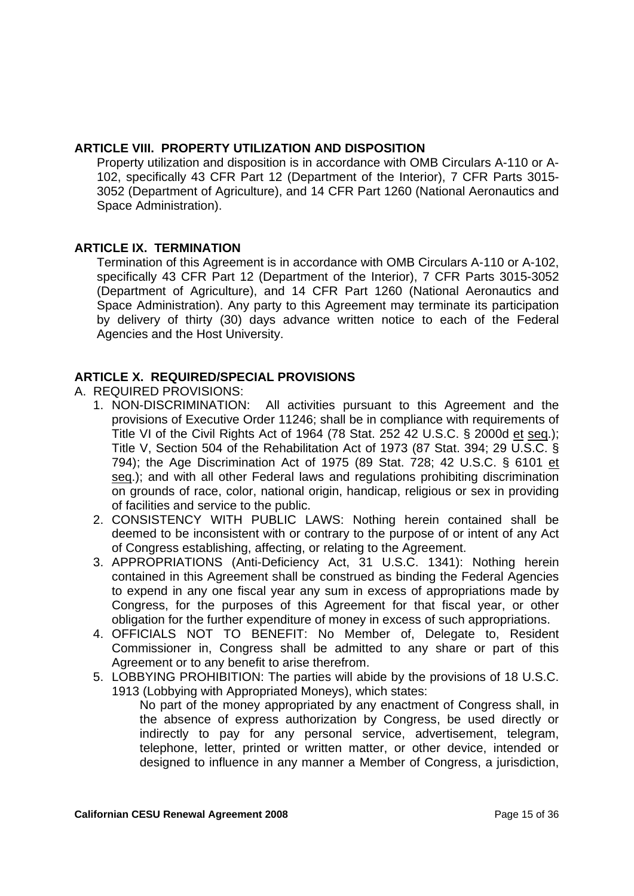#### **ARTICLE VIII. PROPERTY UTILIZATION AND DISPOSITION**

Property utilization and disposition is in accordance with OMB Circulars A-110 or A-102, specifically 43 CFR Part 12 (Department of the Interior), 7 CFR Parts 3015- 3052 (Department of Agriculture), and 14 CFR Part 1260 (National Aeronautics and Space Administration).

#### **ARTICLE IX. TERMINATION**

Termination of this Agreement is in accordance with OMB Circulars A-110 or A-102, specifically 43 CFR Part 12 (Department of the Interior), 7 CFR Parts 3015-3052 (Department of Agriculture), and 14 CFR Part 1260 (National Aeronautics and Space Administration). Any party to this Agreement may terminate its participation by delivery of thirty (30) days advance written notice to each of the Federal Agencies and the Host University.

### **ARTICLE X. REQUIRED/SPECIAL PROVISIONS**

- A. REQUIRED PROVISIONS:
	- 1. NON-DISCRIMINATION: All activities pursuant to this Agreement and the provisions of Executive Order 11246; shall be in compliance with requirements of Title VI of the Civil Rights Act of 1964 (78 Stat. 252 42 U.S.C. § 2000d et seq.); Title V, Section 504 of the Rehabilitation Act of 1973 (87 Stat. 394; 29 U.S.C. § 794); the Age Discrimination Act of 1975 (89 Stat. 728; 42 U.S.C. § 6101 et seq.); and with all other Federal laws and regulations prohibiting discrimination on grounds of race, color, national origin, handicap, religious or sex in providing of facilities and service to the public.
	- 2. CONSISTENCY WITH PUBLIC LAWS: Nothing herein contained shall be deemed to be inconsistent with or contrary to the purpose of or intent of any Act of Congress establishing, affecting, or relating to the Agreement.
	- 3. APPROPRIATIONS (Anti-Deficiency Act, 31 U.S.C. 1341): Nothing herein contained in this Agreement shall be construed as binding the Federal Agencies to expend in any one fiscal year any sum in excess of appropriations made by Congress, for the purposes of this Agreement for that fiscal year, or other obligation for the further expenditure of money in excess of such appropriations.
	- 4. OFFICIALS NOT TO BENEFIT: No Member of, Delegate to, Resident Commissioner in, Congress shall be admitted to any share or part of this Agreement or to any benefit to arise therefrom.
	- 5. LOBBYING PROHIBITION: The parties will abide by the provisions of 18 U.S.C. 1913 (Lobbying with Appropriated Moneys), which states:

No part of the money appropriated by any enactment of Congress shall, in the absence of express authorization by Congress, be used directly or indirectly to pay for any personal service, advertisement, telegram, telephone, letter, printed or written matter, or other device, intended or designed to influence in any manner a Member of Congress, a jurisdiction,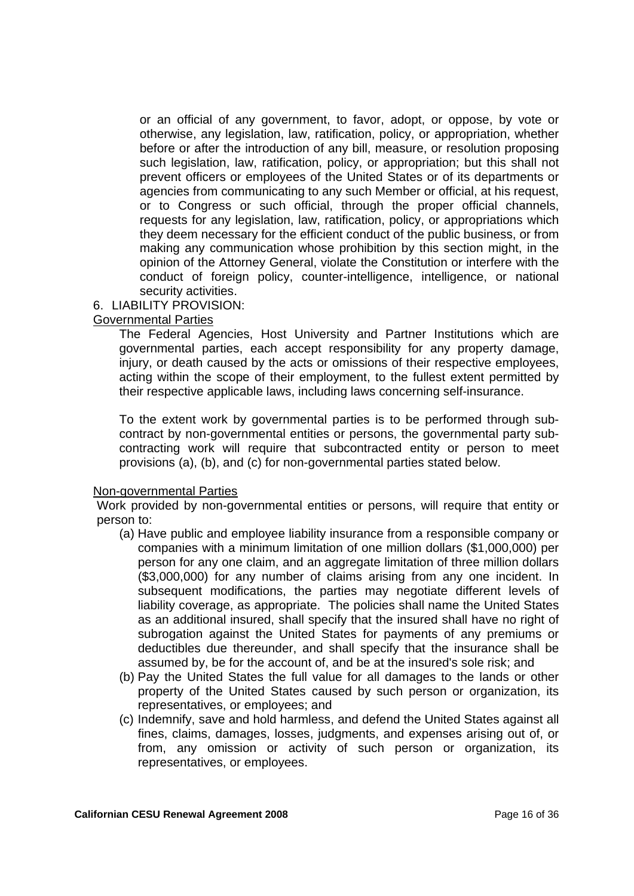or an official of any government, to favor, adopt, or oppose, by vote or otherwise, any legislation, law, ratification, policy, or appropriation, whether before or after the introduction of any bill, measure, or resolution proposing such legislation, law, ratification, policy, or appropriation; but this shall not prevent officers or employees of the United States or of its departments or agencies from communicating to any such Member or official, at his request, or to Congress or such official, through the proper official channels, requests for any legislation, law, ratification, policy, or appropriations which they deem necessary for the efficient conduct of the public business, or from making any communication whose prohibition by this section might, in the opinion of the Attorney General, violate the Constitution or interfere with the conduct of foreign policy, counter-intelligence, intelligence, or national security activities.

#### 6. LIABILITY PROVISION:

#### Governmental Parties

The Federal Agencies, Host University and Partner Institutions which are governmental parties, each accept responsibility for any property damage, injury, or death caused by the acts or omissions of their respective employees, acting within the scope of their employment, to the fullest extent permitted by their respective applicable laws, including laws concerning self-insurance.

To the extent work by governmental parties is to be performed through subcontract by non-governmental entities or persons, the governmental party subcontracting work will require that subcontracted entity or person to meet provisions (a), (b), and (c) for non-governmental parties stated below.

#### Non-governmental Parties

Work provided by non-governmental entities or persons, will require that entity or person to:

- (a) Have public and employee liability insurance from a responsible company or companies with a minimum limitation of one million dollars (\$1,000,000) per person for any one claim, and an aggregate limitation of three million dollars (\$3,000,000) for any number of claims arising from any one incident. In subsequent modifications, the parties may negotiate different levels of liability coverage, as appropriate. The policies shall name the United States as an additional insured, shall specify that the insured shall have no right of subrogation against the United States for payments of any premiums or deductibles due thereunder, and shall specify that the insurance shall be assumed by, be for the account of, and be at the insured's sole risk; and
- (b) Pay the United States the full value for all damages to the lands or other property of the United States caused by such person or organization, its representatives, or employees; and
- (c) Indemnify, save and hold harmless, and defend the United States against all fines, claims, damages, losses, judgments, and expenses arising out of, or from, any omission or activity of such person or organization, its representatives, or employees.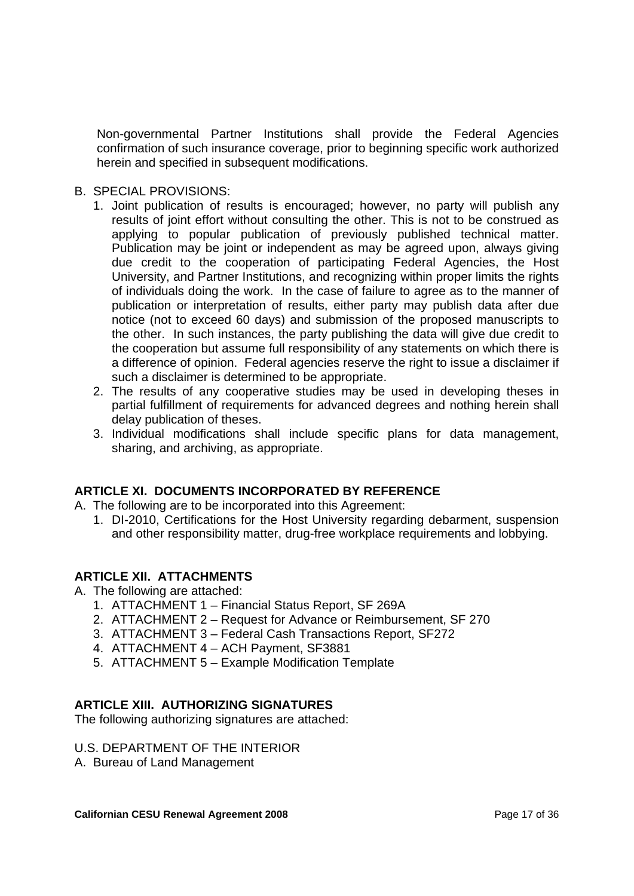Non-governmental Partner Institutions shall provide the Federal Agencies confirmation of such insurance coverage, prior to beginning specific work authorized herein and specified in subsequent modifications.

- B. SPECIAL PROVISIONS:
	- 1. Joint publication of results is encouraged; however, no party will publish any results of joint effort without consulting the other. This is not to be construed as applying to popular publication of previously published technical matter. Publication may be joint or independent as may be agreed upon, always giving due credit to the cooperation of participating Federal Agencies, the Host University, and Partner Institutions, and recognizing within proper limits the rights of individuals doing the work. In the case of failure to agree as to the manner of publication or interpretation of results, either party may publish data after due notice (not to exceed 60 days) and submission of the proposed manuscripts to the other. In such instances, the party publishing the data will give due credit to the cooperation but assume full responsibility of any statements on which there is a difference of opinion. Federal agencies reserve the right to issue a disclaimer if such a disclaimer is determined to be appropriate.
	- 2. The results of any cooperative studies may be used in developing theses in partial fulfillment of requirements for advanced degrees and nothing herein shall delay publication of theses.
	- 3. Individual modifications shall include specific plans for data management, sharing, and archiving, as appropriate.

### **ARTICLE XI. DOCUMENTS INCORPORATED BY REFERENCE**

- A. The following are to be incorporated into this Agreement:
	- 1. DI-2010, Certifications for the Host University regarding debarment, suspension and other responsibility matter, drug-free workplace requirements and lobbying.

### **ARTICLE XII. ATTACHMENTS**

- A. The following are attached:
	- 1. ATTACHMENT 1 Financial Status Report, SF 269A
	- 2. ATTACHMENT 2 Request for Advance or Reimbursement, SF 270
	- 3. ATTACHMENT 3 Federal Cash Transactions Report, SF272
	- 4. ATTACHMENT 4 ACH Payment, SF3881
	- 5. ATTACHMENT 5 Example Modification Template

### **ARTICLE XIII. AUTHORIZING SIGNATURES**

The following authorizing signatures are attached:

#### U.S. DEPARTMENT OF THE INTERIOR

A. Bureau of Land Management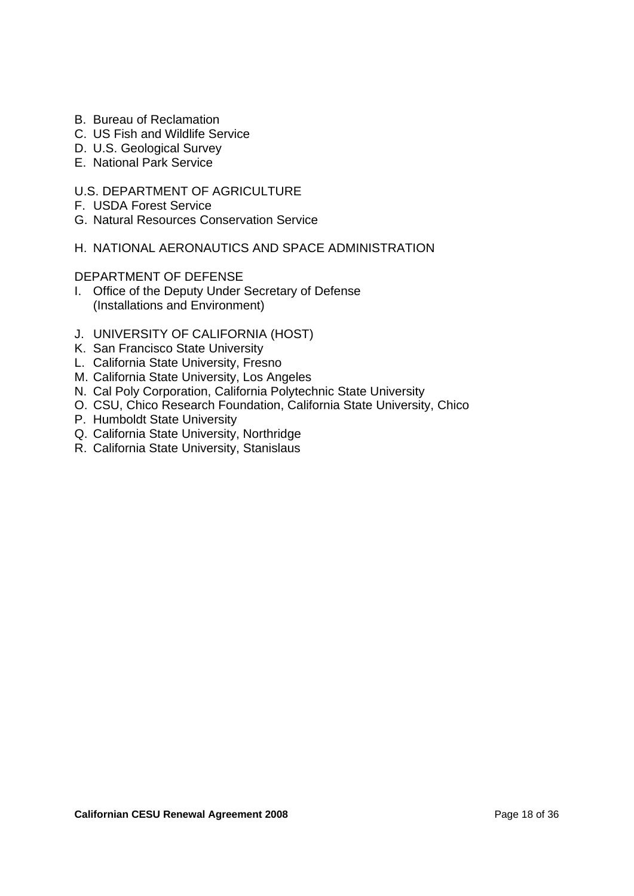- B. Bureau of Reclamation
- C. US Fish and Wildlife Service
- D. U.S. Geological Survey
- E. National Park Service

#### U.S. DEPARTMENT OF AGRICULTURE

- F. USDA Forest Service
- G. Natural Resources Conservation Service

#### H. NATIONAL AERONAUTICS AND SPACE ADMINISTRATION

#### DEPARTMENT OF DEFENSE

- I. Office of the Deputy Under Secretary of Defense (Installations and Environment)
- J. UNIVERSITY OF CALIFORNIA (HOST)
- K. San Francisco State University
- L. California State University, Fresno
- M. California State University, Los Angeles
- N. Cal Poly Corporation, California Polytechnic State University
- O. CSU, Chico Research Foundation, California State University, Chico
- P. Humboldt State University
- Q. California State University, Northridge
- R. California State University, Stanislaus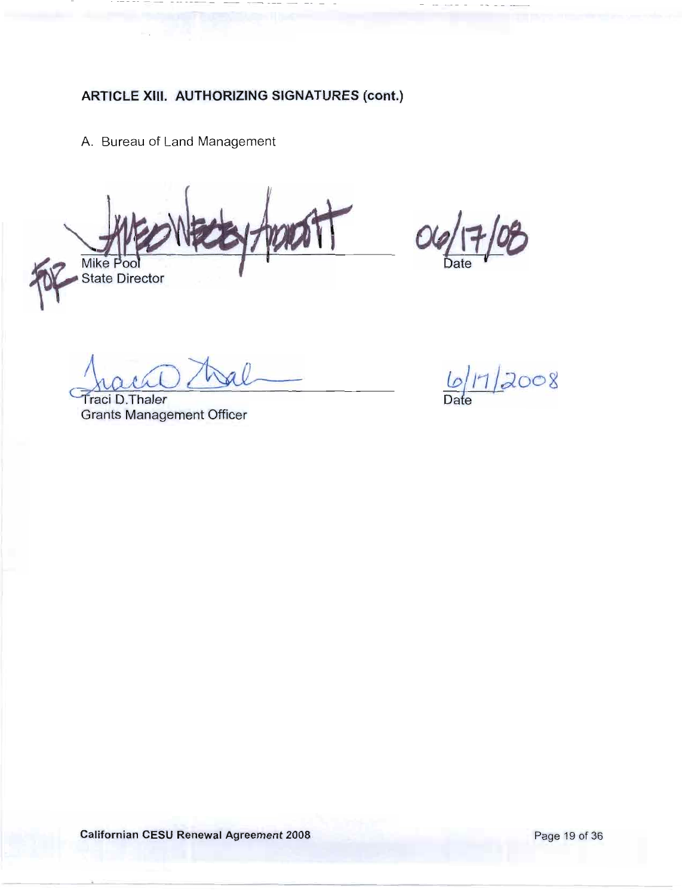A. Bureau of Land Management

Mike Poo **State Director** 

**Traci D. Thaler Grants Management Officer** 

 $\frac{6}{2008}$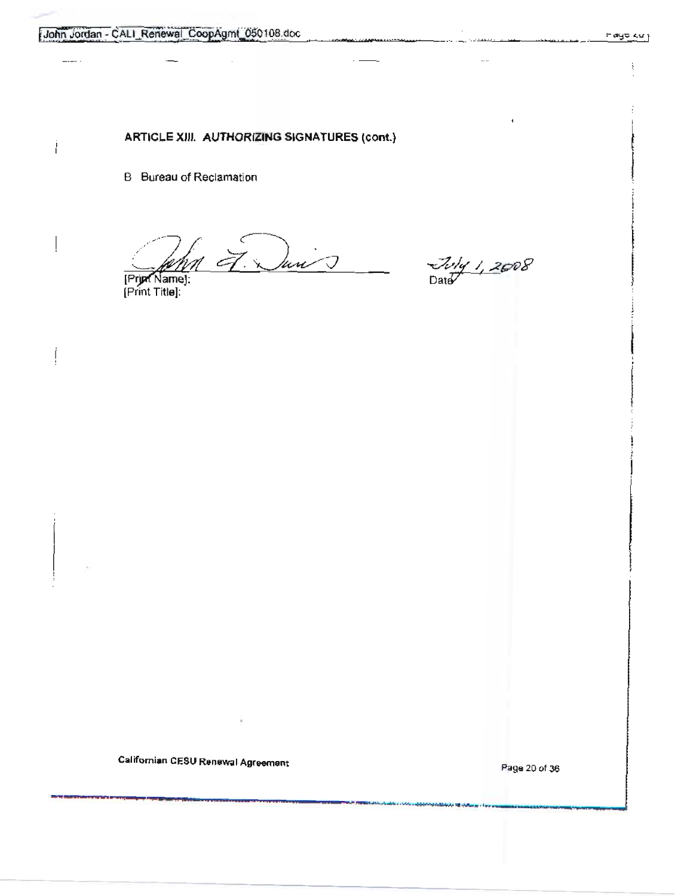**B** Bureau of Reclamation

 $\frac{20}{\frac{1}{1000}}$  March 2008

[Print Title]:

Californian CESU Renewal Agreement

Page 20 of 36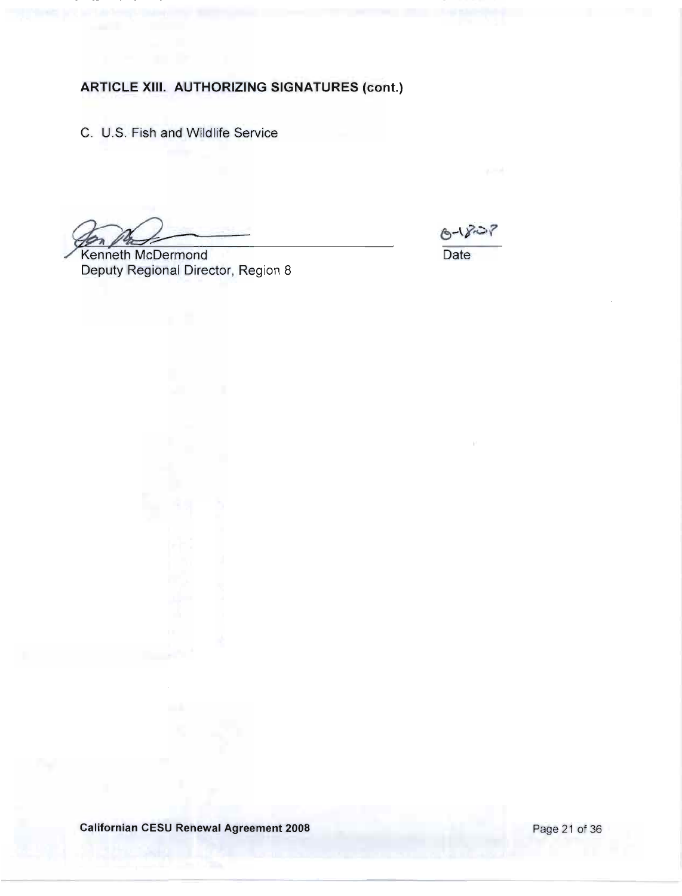C. U.S. Fish and Wildlife Service

 $6 - 8 - 7$ 

Date

Kenneth McDermond Deputy Regional Director, Region 8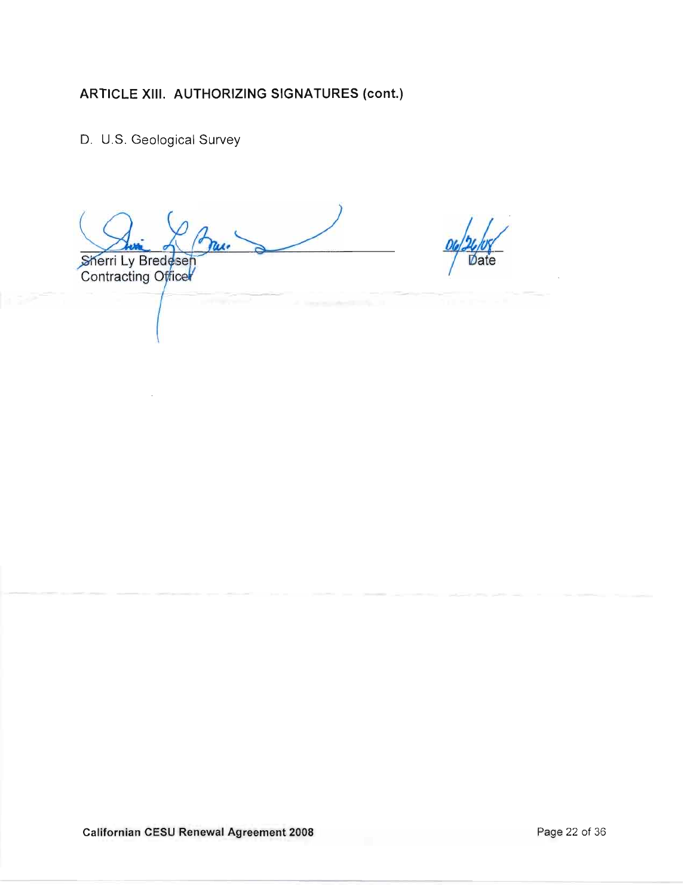D. U.S. Geological Survey

Sherri Ly Bredesen<br>Contracting Officer

**Californian CESU Renewal Agreement 2008**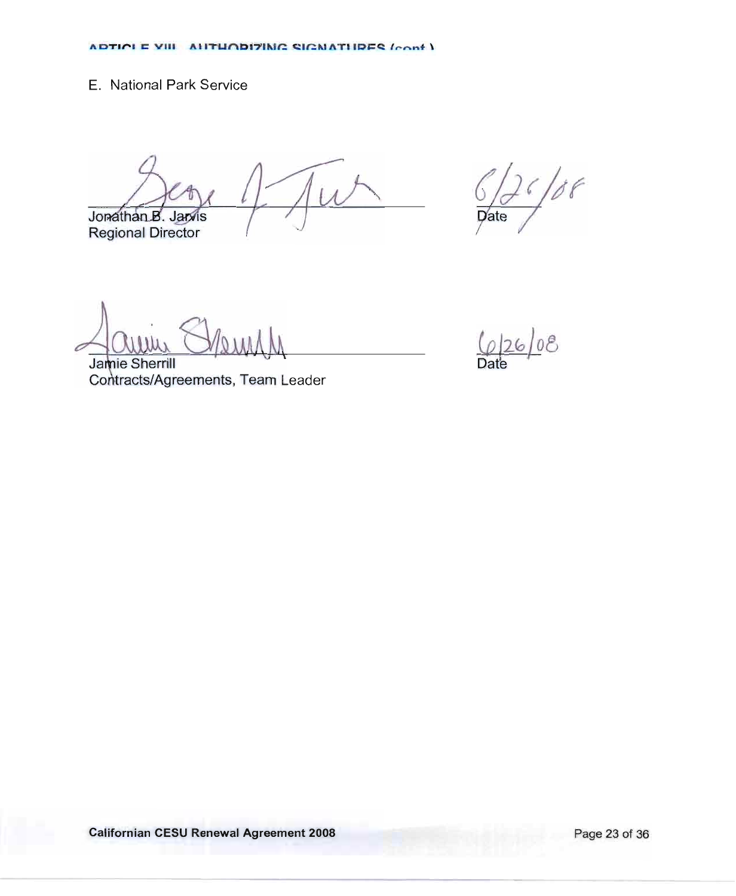## E. National Park Service

Jonathan B. Jan/is **Regional Director** 

 $1/88$  $\overline{p}$ ate

Jamie Sherrill Contracts/Agreements, Team Leader

 $\frac{6}{26}$  08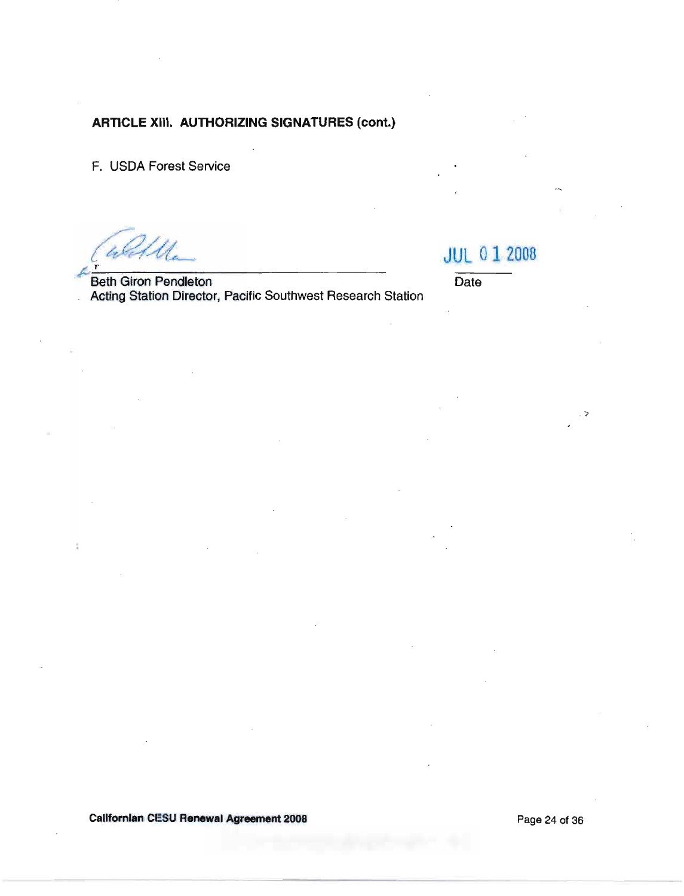F. USDA Forest Service

**Beth Giron Pendleton** Acting Station Director, Pacific Southwest Research Station **JUL 01 2008** 

Date

ゝ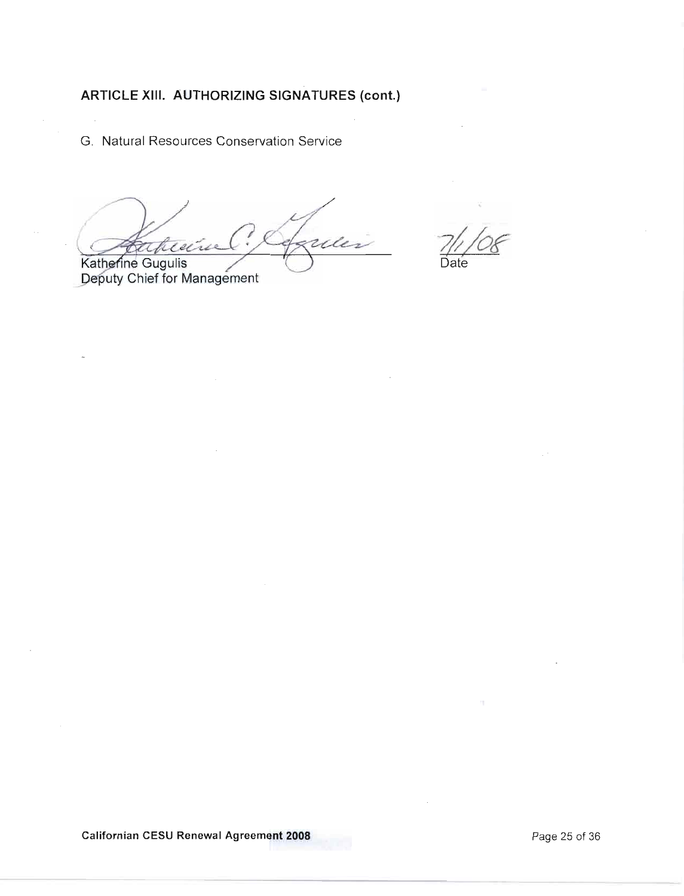G. Natural Resources Conservation Service

reles ahie źл Katherine Gugulis

Deputy Chief for Management

Californian CESU Renewal Agreement 2008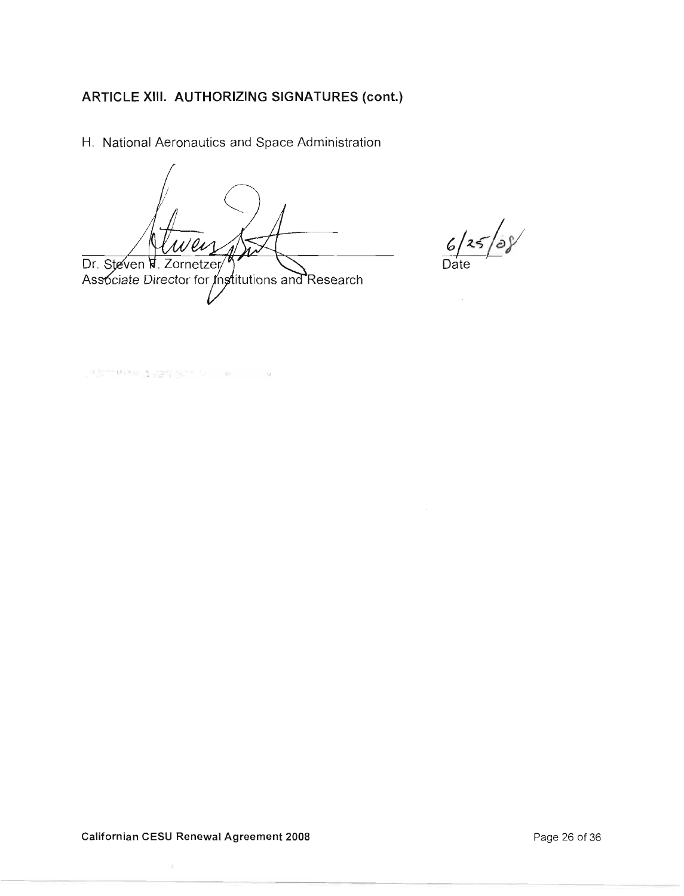H. National Aeronautics and Space Administration

Dr. Steven V. Zornetzer/ Associate Director for Institutions and Research

 $6/25/08$ 

Date

지수하다 나는 아이들을 만들어 있는 것이 좋아하다.

Californian CESU Renewal Agreement 2008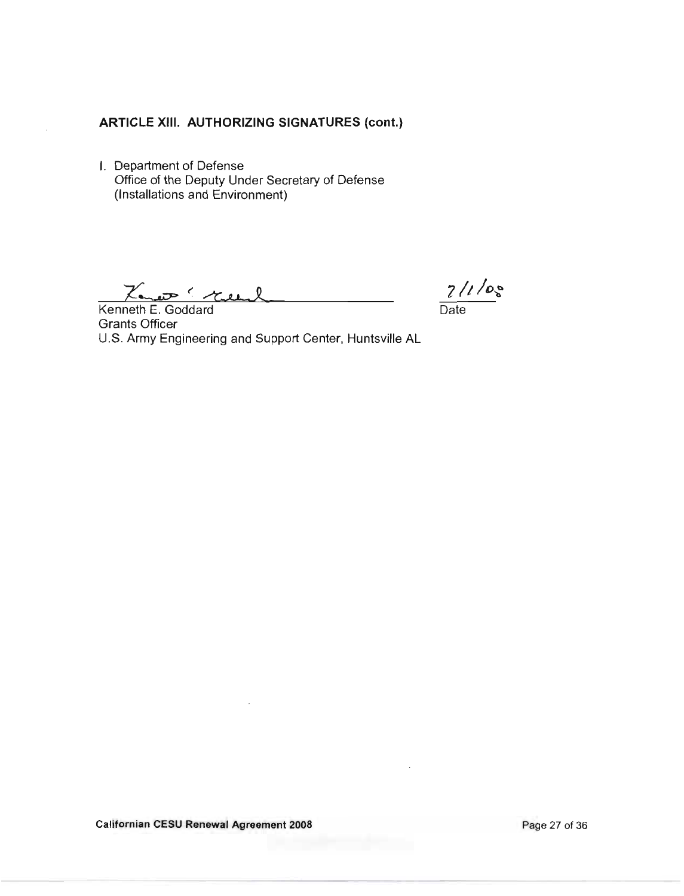I. Department of Defense Office of the Deputy Under Secretary of Defense (Installations and Environment)

Kenneth E. Goddard

 $\frac{7}{\text{Date}}$ 

**Grants Officer** U.S. Army Engineering and Support Center, Huntsville AL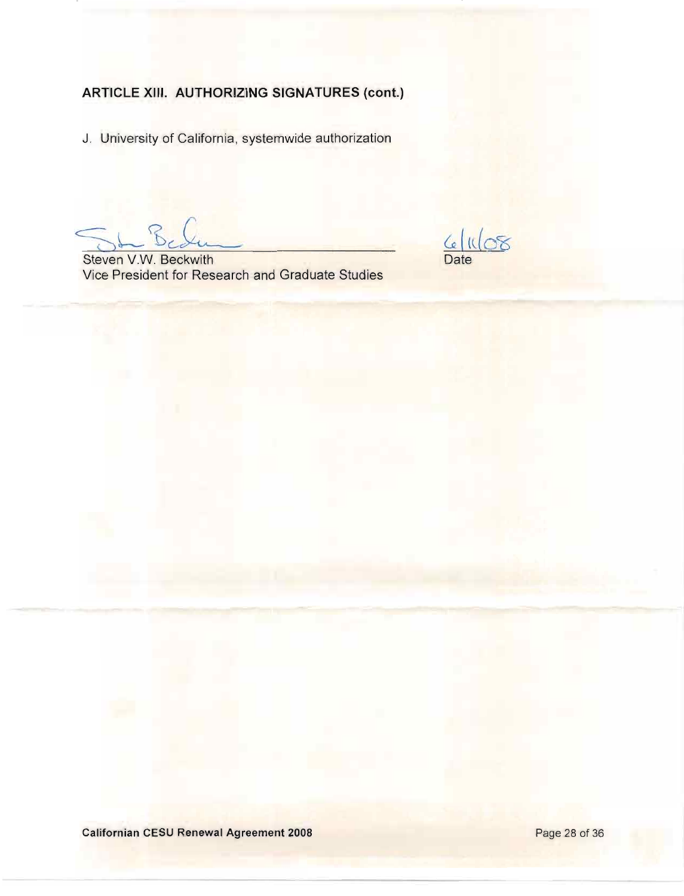J. University of California, systemwide authorization

 $\frac{6|108}{\text{Date}}$ 

Steven V.W. Beckwith Vice President for Research and Graduate Studies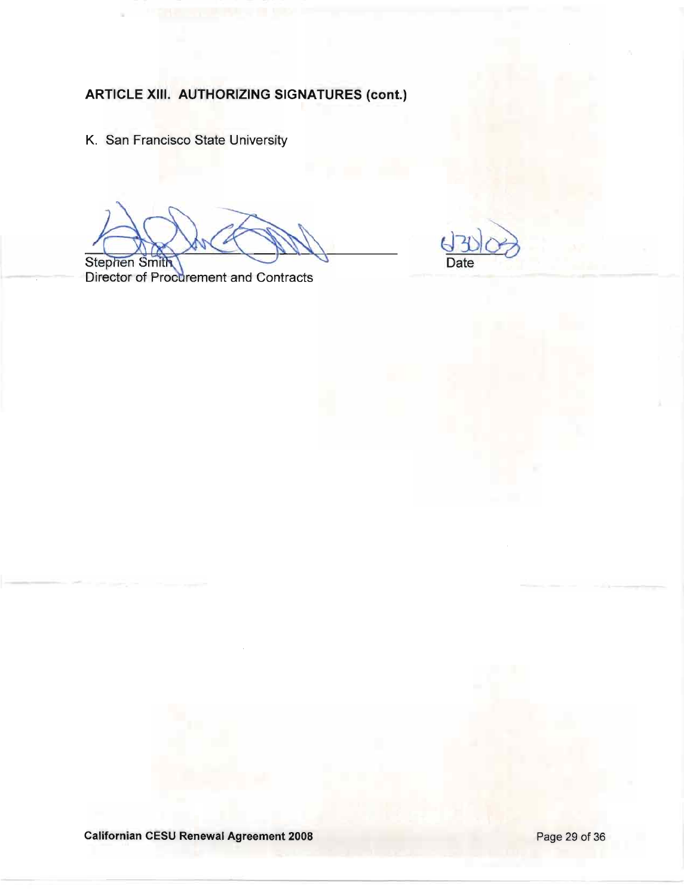K. San Francisco State University

Date

Stephen Smith<br>Director of Procurement and Contracts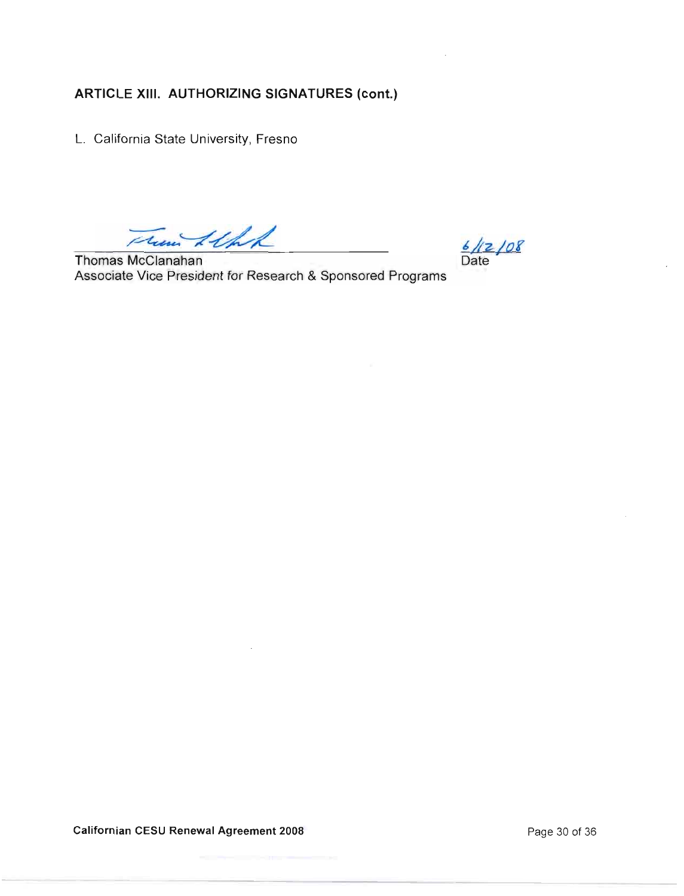L. California State University, Fresno

Them Itht

Thomas McClanahan Associate Vice President for Research & Sponsored Programs

 $\frac{6}{12}/08$ <br>Date

**Californian CESU Renewal Agreement 2008** 

Page 30 of 36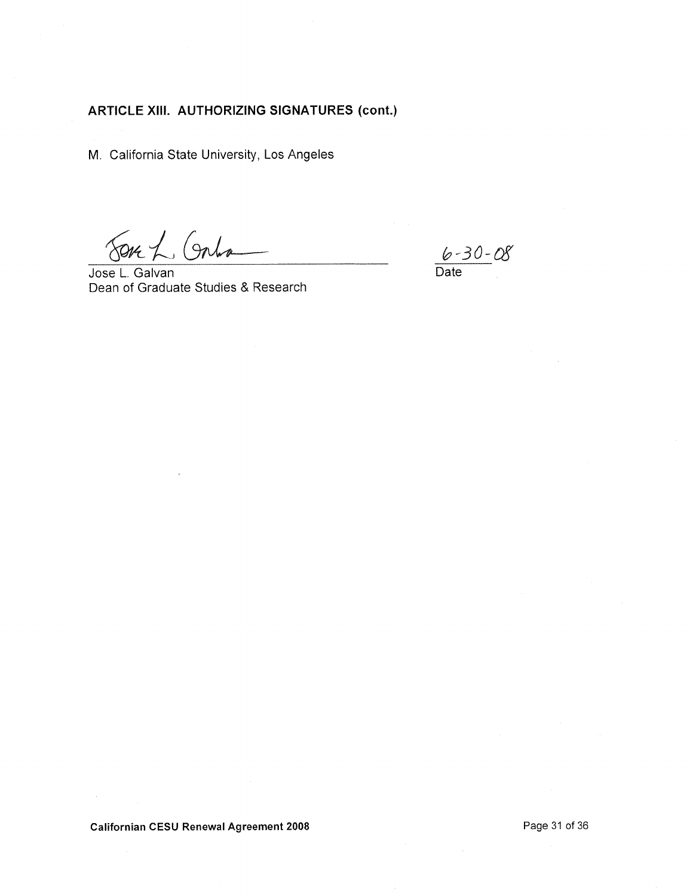M. California State University, Los Angeles

SOK L Gala 

Jose L. Galvan Dean of Graduate Studies & Research

 $6 - 30 - 08$ <br>Date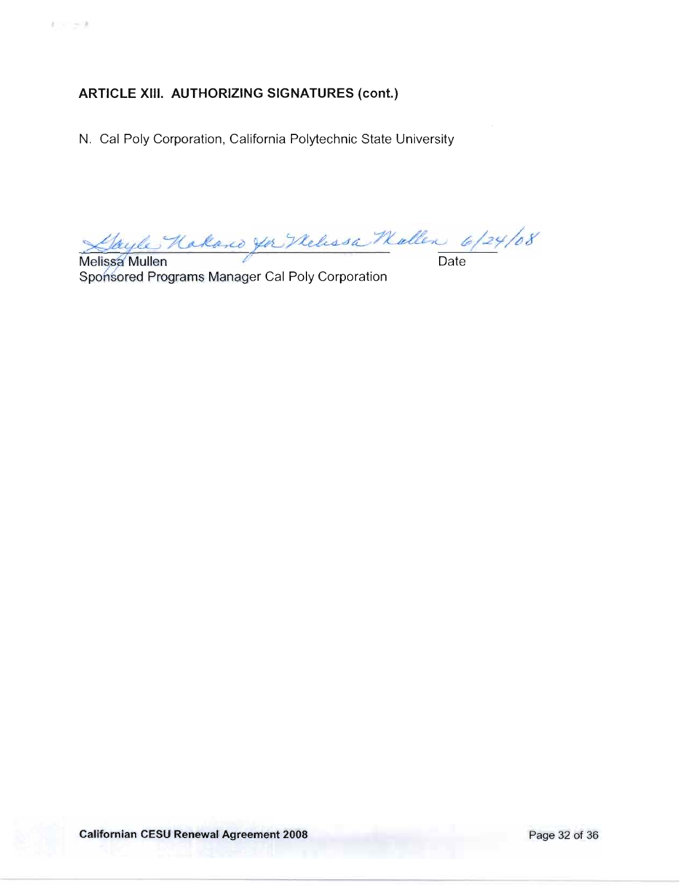N. Cal Poly Corporation, California Polytechnic State University

Gayle Hakand you Nelissa Mallen 6/24/08  $\mathcal{S}$ 

Melissa Mullen Sponsored Programs Manager Cal Poly Corporation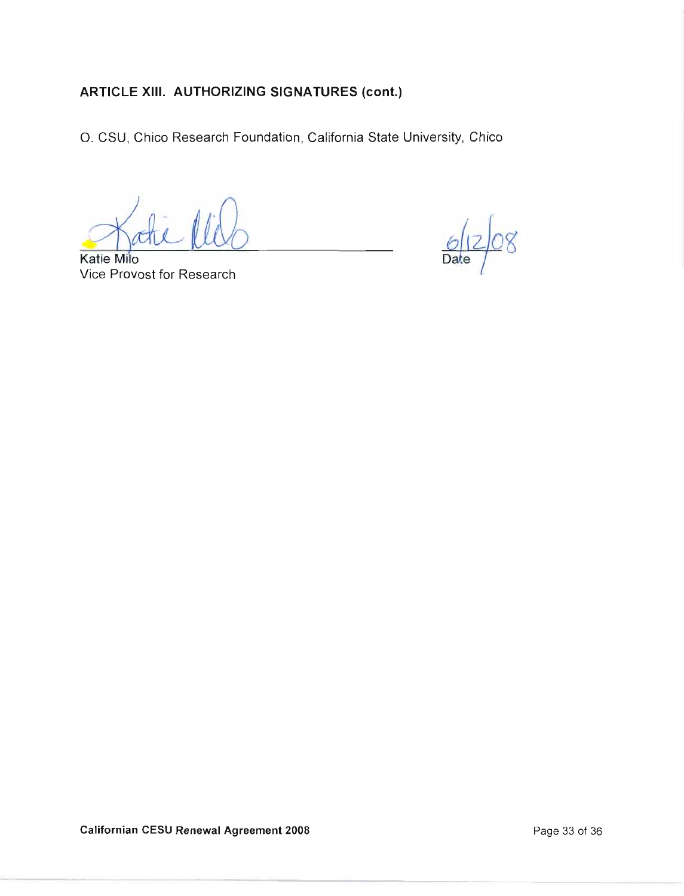O. CSU, Chico Research Foundation, California State University, Chico

**Katie Milo** Vice Provost for Research

Da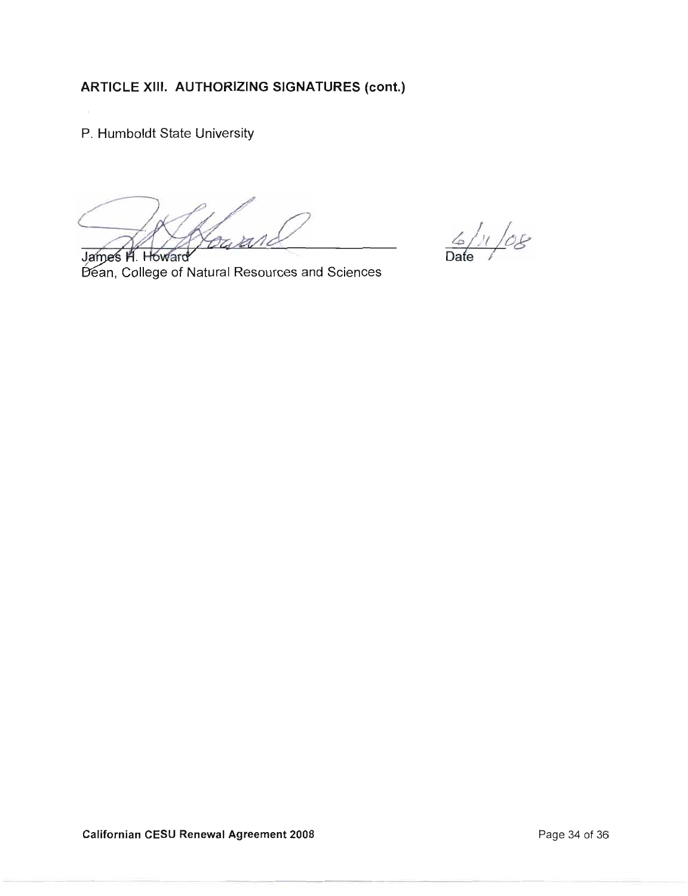P. Humboldt State University

 $\frac{6}{4}$  /1 /08

James H. Howard Dean, College of Natural Resources and Sciences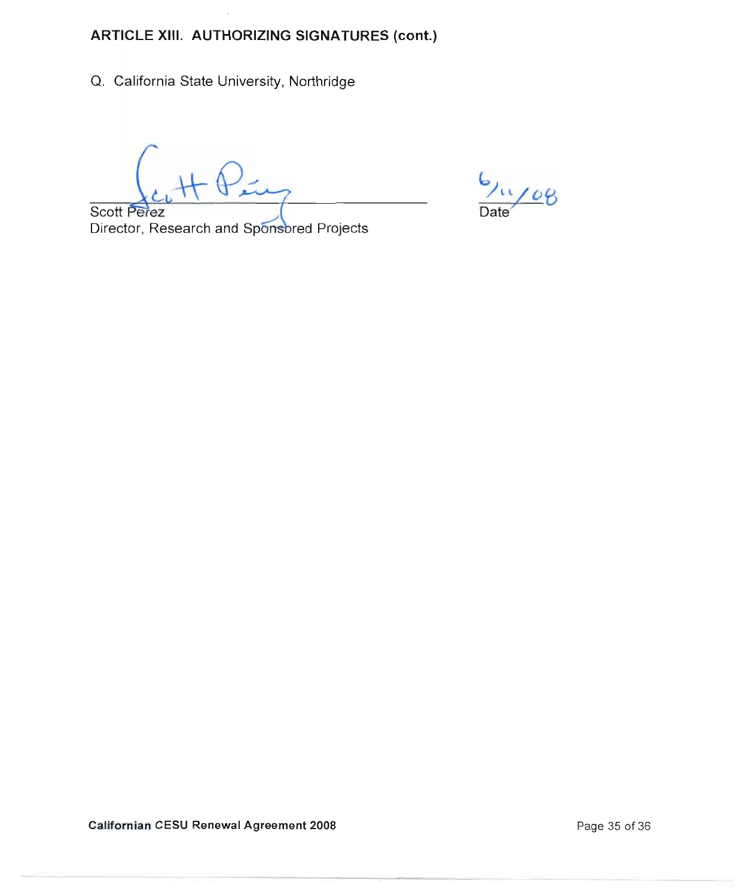Q. California State University, Northridge

 $1/08$ 

Scott Perez Director, Research and Sponsored Projects